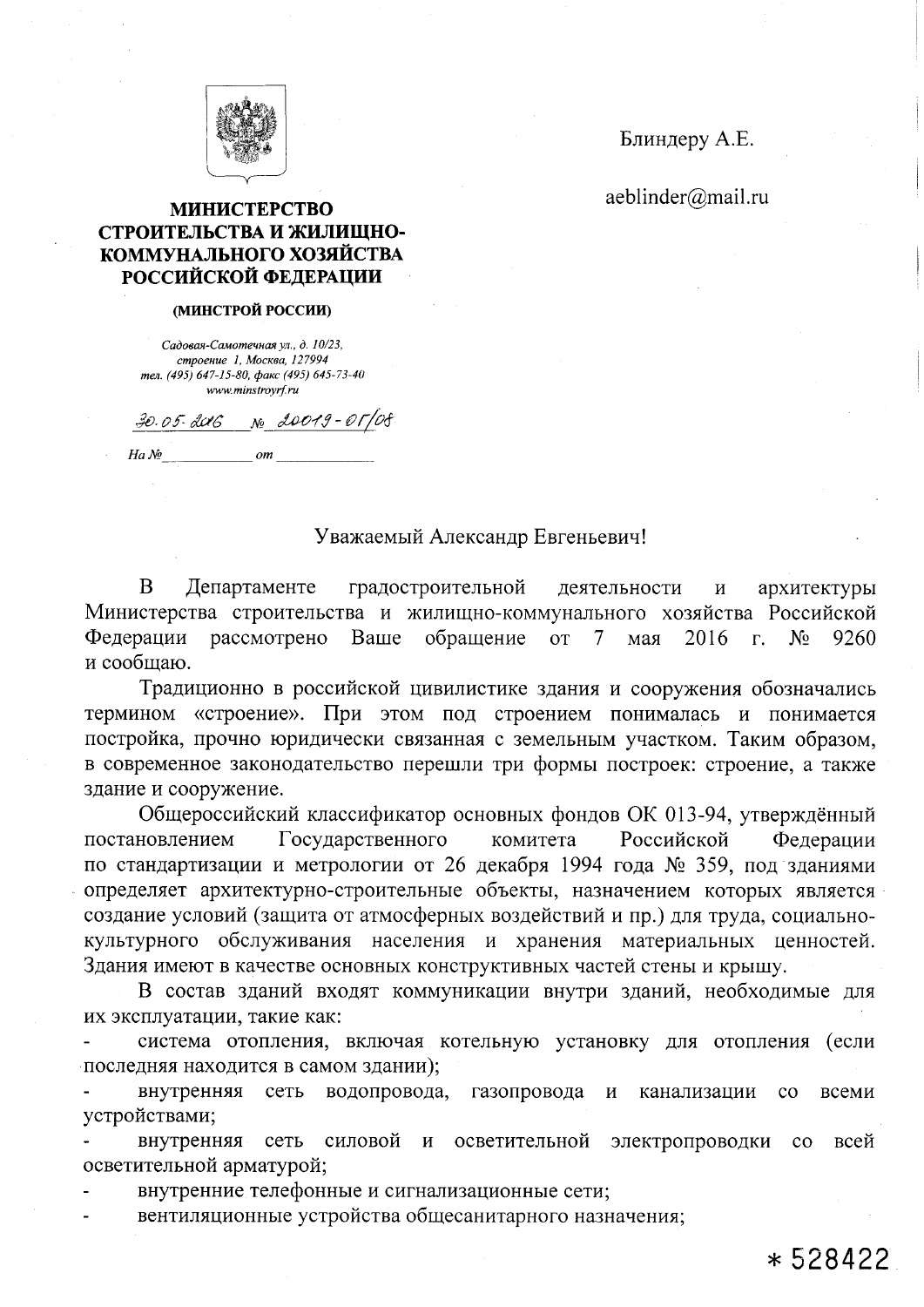

Блиндеру А.Е.

aeblinder@mail.ru

## **МИНИСТЕРСТВО** СТРОИТЕЛЬСТВА И ЖИЛИЩНО-КОММУНАЛЬНОГО ХОЗЯЙСТВА РОССИЙСКОЙ ФЕДЕРАЦИИ

## (МИНСТРОЙ РОССИИ)

Садовая-Самотечная ул., д. 10/23, строение 1, Москва, 127994 тел. (495) 647-15-80, факс (495) 645-73-40 www.minstrovrf.ru

 $30.05.006$  No 20019-01/08

 $\boldsymbol{om}$ 

 $Ha \, \mathcal{N}$ 

## Уважаемый Александр Евгеньевич!

B Департаменте градостроительной деятельности  $\, {\bf N}$ архитектуры Министерства строительства и жилищно-коммунального хозяйства Российской Федерации рассмотрено обращение Bame  $\overline{or}$ 2016  $N_2$ 9260 7 мая  $\Gamma$ . и сообщаю.

Традиционно в российской цивилистике здания и сооружения обозначались термином «строение». При этом под строением понималась и понимается постройка, прочно юридически связанная с земельным участком. Таким образом, в современное законодательство перешли три формы построек: строение, а также здание и сооружение.

Общероссийский классификатор основных фондов ОК 013-94, утверждённый постановлением Государственного комитета Российской Федерации по стандартизации и метрологии от 26 декабря 1994 года № 359, под зданиями определяет архитектурно-строительные объекты, назначением которых является создание условий (защита от атмосферных воздействий и пр.) для труда, социальнокультурного обслуживания населения и хранения материальных ценностей. Здания имеют в качестве основных конструктивных частей стены и крышу.

В состав зданий входят коммуникации внутри зданий, необходимые для их эксплуатации, такие как:

система отопления, включая котельную установку для отопления (если последняя находится в самом здании);

внутренняя сеть водопровода, газопровода И канализации  $\rm{co}$ всеми устройствами;

внутренняя сеть силовой  $\mathbf{M}$ осветительной электропроводки  $\rm{co}$ всей осветительной арматурой;

внутренние телефонные и сигнализационные сети;

вентиляционные устройства общесанитарного назначения;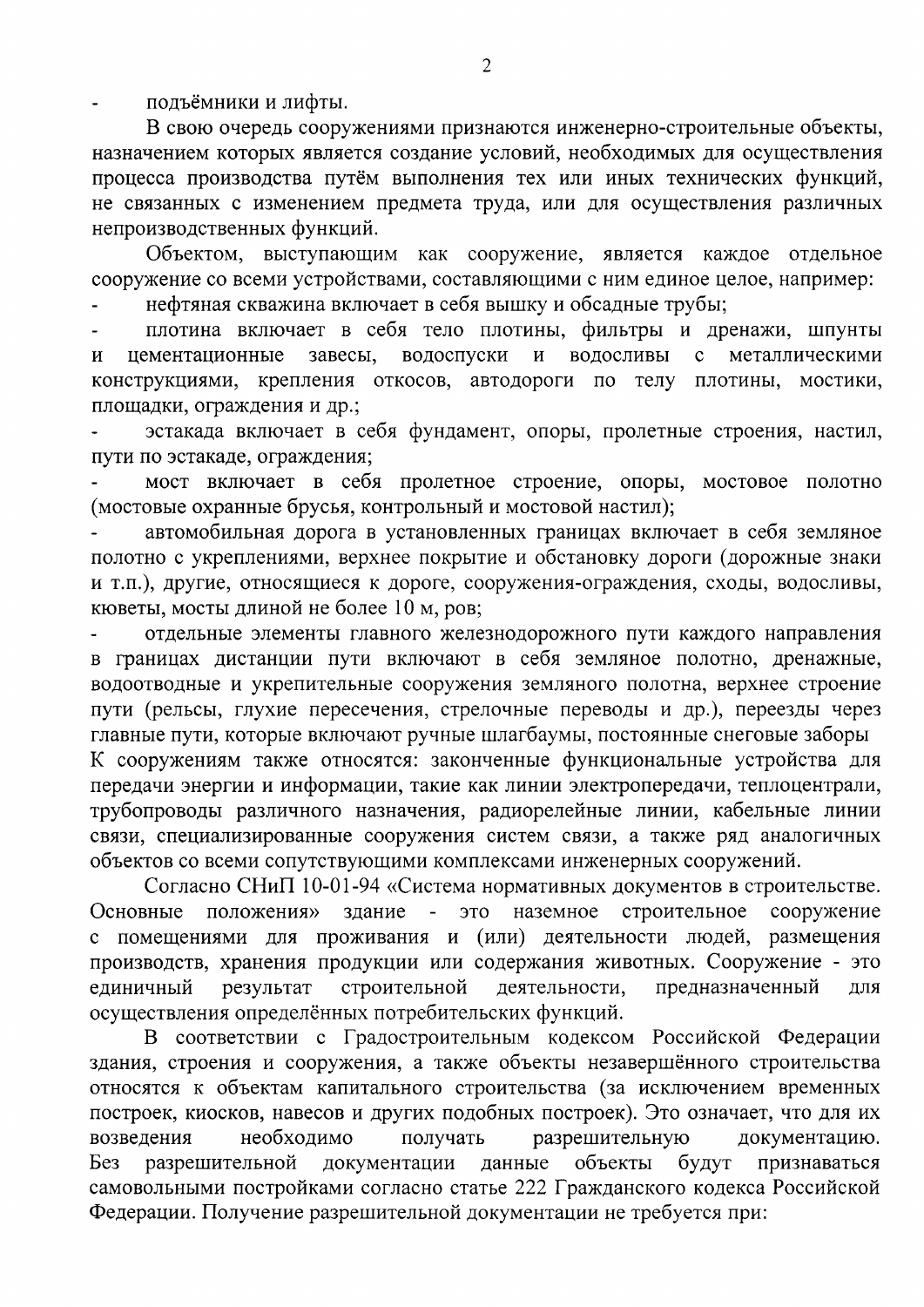подъёмники и лифты.

В свою очередь сооружениями признаются инженерно-строительные объекты, назначением которых является создание условий, необходимых для осуществления процесса производства путём выполнения тех или иных технических функций, не связанных с изменением предмета труда, или для осуществления различных непроизводственных функций.

Объектом, выступающим как сооружение, является каждое отдельное сооружение со всеми устройствами, составляющими с ним единое целое, например:

нефтяная скважина включает в себя вышку и обсадные трубы;

плотина включает в себя тело плотины, фильтры и дренажи, шпунты водоспуски  $\overline{M}$ водосливы цементационные завесы, металлическими  $\mathbf{M}$  $\mathbf{c}$ конструкциями, крепления откосов, автодороги по телу плотины, мостики, площадки, ограждения и др.;

эстакада включает в себя фундамент, опоры, пролетные строения, настил, пути по эстакаде, ограждения;

мост включает в себя пролетное строение, опоры, мостовое полотно (мостовые охранные брусья, контрольный и мостовой настил);

автомобильная дорога в установленных границах включает в себя земляное полотно с укреплениями, верхнее покрытие и обстановку дороги (дорожные знаки и т.п.), другие, относящиеся к дороге, сооружения-ограждения, сходы, водосливы, кюветы, мосты длиной не более 10 м, ров;

отдельные элементы главного железнодорожного пути каждого направления в границах дистанции пути включают в себя земляное полотно, дренажные, водоотводные и укрепительные сооружения земляного полотна, верхнее строение пути (рельсы, глухие пересечения, стрелочные переводы и др.), переезды через главные пути, которые включают ручные шлагбаумы, постоянные снеговые заборы К сооружениям также относятся: законченные функциональные устройства для передачи энергии и информации, такие как линии электропередачи, теплоцентрали, трубопроводы различного назначения, радиорелейные линии, кабельные линии связи, специализированные сооружения систем связи, а также ряд аналогичных объектов со всеми сопутствующими комплексами инженерных сооружений.

Согласно СНиП 10-01-94 «Система нормативных документов в строительстве. положения» наземное строительное сооружение Основные здание  $\omega_{\rm c}$ это с помещениями для проживания и (или) деятельности людей, размещения производств, хранения продукции или содержания животных. Сооружение - это строительной предназначенный единичный результат деятельности, ДЛЯ осуществления определённых потребительских функций.

В соответствии с Градостроительным кодексом Российской Федерации здания, строения и сооружения, а также объекты незавершённого строительства относятся к объектам капитального строительства (за исключением временных построек, киосков, навесов и других подобных построек). Это означает, что для их возведения необходимо получать разрешительную документацию. разрешительной документации объекты Бeз данные будут признаваться самовольными постройками согласно статье 222 Гражданского кодекса Российской Федерации. Получение разрешительной документации не требуется при: